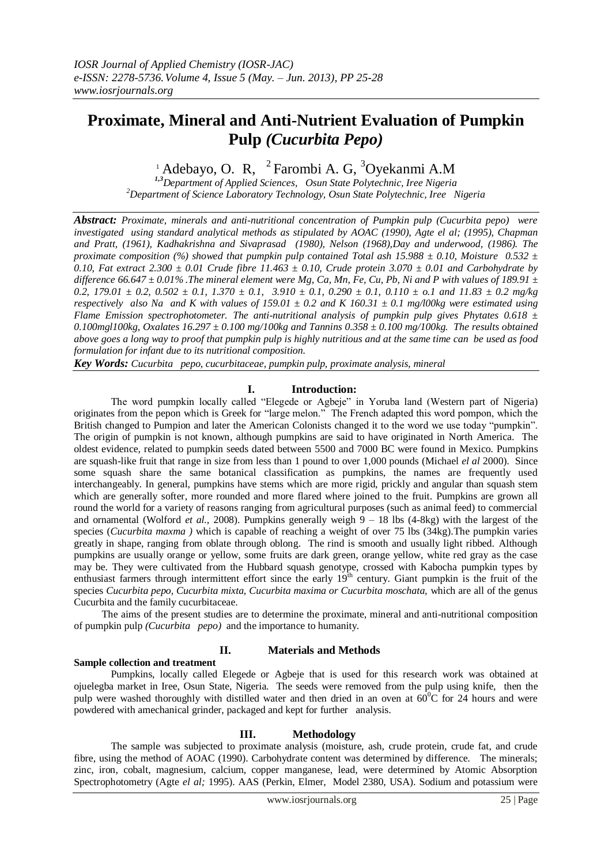# **Proximate, Mineral and Anti-Nutrient Evaluation of Pumpkin Pulp** *(Cucurbita Pepo)*

## $1$  Adebayo, O. R,  $2$  Farombi A. G,  $3$ Oyekanmi A.M

*1,3Department of Applied Sciences, Osun State Polytechnic, Iree Nigeria <sup>2</sup>Department of Science Laboratory Technology, Osun State Polytechnic, Iree Nigeria*

*Abstract: Proximate, minerals and anti-nutritional concentration of Pumpkin pulp (Cucurbita pepo) were investigated using standard analytical methods as stipulated by AOAC (1990), Agte el al; (1995), Chapman and Pratt, (1961), Kadhakrishna and Sivaprasad (1980), Nelson (1968),Day and underwood, (1986). The proximate composition (%) showed that pumpkin pulp contained Total ash 15.988 ± 0.10, Moisture 0.532 ± 0.10, Fat extract 2.300 ± 0.01 Crude fibre 11.463 ± 0.10, Crude protein 3.070 ± 0.01 and Carbohydrate by difference 66.647 ± 0.01% .The mineral element were Mg, Ca, Mn, Fe, Cu, Pb, Ni and P with values of 189.91 ± 0.2, 179.01 ± 0.2, 0.502 ± 0.1, 1.370 ± 0.1, 3.910 ± 0.1, 0.290 ± 0.1, 0.110 ± o.1 and 11.83 ± 0.2 mg/kg respectively also Na and K with values of 159.01 ± 0.2 and K 160.31 ± 0.1 mg/l00kg were estimated using Flame Emission spectrophotometer. The anti-nutritional analysis of pumpkin pulp gives Phytates 0.618 ± 0.100mgl100kg, Oxalates 16.297 ± 0.100 mg/100kg and Tannins 0.358 ± 0.100 mg/100kg. The results obtained above goes a long way to proof that pumpkin pulp is highly nutritious and at the same time can be used as food formulation for infant due to its nutritional composition.*

*Key Words: Cucurbita pepo, cucurbitaceae, pumpkin pulp, proximate analysis, mineral*

#### **I. Introduction:**

The word pumpkin locally called "Elegede or Agbeje" in Yoruba land (Western part of Nigeria) originates from the pepon which is Greek for "large melon." The French adapted this word pompon, which the British changed to Pumpion and later the American Colonists changed it to the word we use today "pumpkin". The origin of pumpkin is not known, although pumpkins are said to have originated in North America. The oldest evidence, related to pumpkin seeds dated between 5500 and 7000 BC were found in Mexico. Pumpkins are squash-like fruit that range in size from less than 1 pound to over 1,000 pounds (Michael *el al* 2000). Since some squash share the same botanical classification as pumpkins, the names are frequently used interchangeably. In general, pumpkins have stems which are more rigid, prickly and angular than squash stem which are generally softer, more rounded and more flared where joined to the fruit. Pumpkins are grown all round the world for a variety of reasons ranging from agricultural purposes (such as animal feed) to commercial and ornamental (Wolford *et al.,* 2008). Pumpkins generally weigh 9 – 18 lbs (4-8kg) with the largest of the species (*Cucurbita maxma* ) which is capable of reaching a weight of over 75 lbs (34kg). The pumpkin varies greatly in shape, ranging from oblate through oblong. The rind is smooth and usually light ribbed. Although pumpkins are usually orange or yellow, some fruits are dark green, orange yellow, white red gray as the case may be. They were cultivated from the Hubbard squash genotype, crossed with Kabocha pumpkin types by enthusiast farmers through intermittent effort since the early  $19<sup>th</sup>$  century. Giant pumpkin is the fruit of the species *Cucurbita pepo, Cucurbita mixta, Cucurbita maxima or Cucurbita moschata,* which are all of the genus Cucurbita and the family cucurbitaceae.

The aims of the present studies are to determine the proximate, mineral and anti-nutritional composition of pumpkin pulp *(Cucurbita pepo)* and the importance to humanity.

### **Sample collection and treatment**

#### **II. Materials and Methods**

Pumpkins, locally called Elegede or Agbeje that is used for this research work was obtained at ojuelegba market in Iree, Osun State, Nigeria. The seeds were removed from the pulp using knife, then the pulp were washed thoroughly with distilled water and then dried in an oven at  $60^{\circ}$ C for 24 hours and were powdered with amechanical grinder, packaged and kept for further analysis.

#### **III. Methodology**

The sample was subjected to proximate analysis (moisture, ash, crude protein, crude fat, and crude fibre, using the method of AOAC (1990). Carbohydrate content was determined by difference. The minerals; zinc, iron, cobalt, magnesium, calcium, copper manganese, lead, were determined by Atomic Absorption Spectrophotometry (Agte *el al;* 1995). AAS (Perkin, Elmer, Model 2380, USA). Sodium and potassium were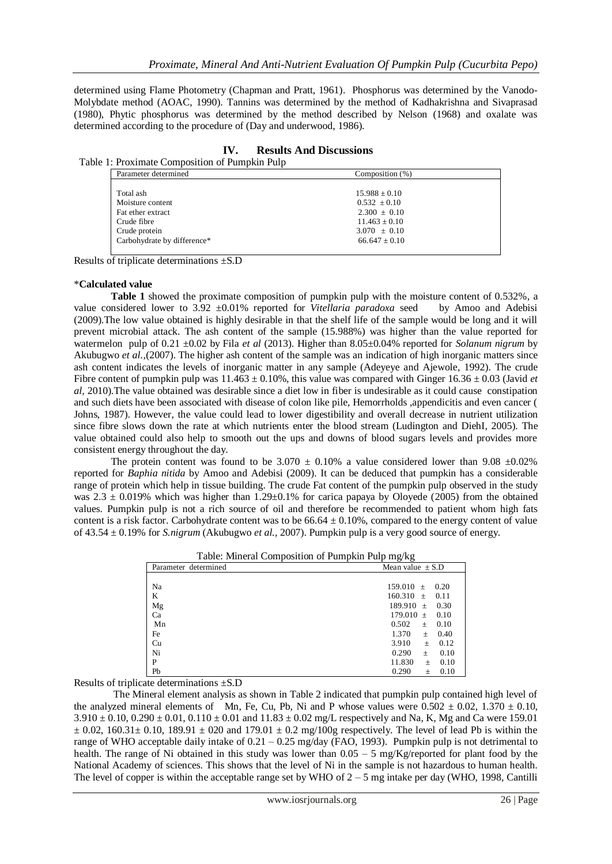determined using Flame Photometry (Chapman and Pratt, 1961). Phosphorus was determined by the Vanodo-Molybdate method (AOAC, 1990). Tannins was determined by the method of Kadhakrishna and Sivaprasad (1980), Phytic phosphorus was determined by the method described by Nelson (1968) and oxalate was determined according to the procedure of (Day and underwood, 1986).

| <b>Results And Discussions</b><br>IV.          |                                                                                                                   |                                                                                                                       |  |  |
|------------------------------------------------|-------------------------------------------------------------------------------------------------------------------|-----------------------------------------------------------------------------------------------------------------------|--|--|
| Table 1: Proximate Composition of Pumpkin Pulp |                                                                                                                   |                                                                                                                       |  |  |
|                                                | Parameter determined                                                                                              | Composition (%)                                                                                                       |  |  |
|                                                | Total ash<br>Moisture content<br>Fat ether extract<br>Crude fibre<br>Crude protein<br>Carbohydrate by difference* | $15.988 \pm 0.10$<br>$0.532 \pm 0.10$<br>$2.300 \pm 0.10$<br>$11.463 + 0.10$<br>$3.070 \pm 0.10$<br>$66.647 \pm 0.10$ |  |  |

Results of triplicate determinations ±S.D

#### \***Calculated value**

**Table 1** showed the proximate composition of pumpkin pulp with the moisture content of 0.532%, a value considered lower to 3.92 ±0.01% reported for *Vitellaria paradoxa* seed by Amoo and Adebisi (2009).The low value obtained is highly desirable in that the shelf life of the sample would be long and it will prevent microbial attack. The ash content of the sample (15.988%) was higher than the value reported for watermelon pulp of 0.21 ±0.02 by Fila *et al* (2013). Higher than 8.05±0.04% reported for *Solanum nigrum* by Akubugwo *et al.,*(2007). The higher ash content of the sample was an indication of high inorganic matters since ash content indicates the levels of inorganic matter in any sample (Adeyeye and Ajewole, 1992). The crude Fibre content of pumpkin pulp was  $11.463 \pm 0.10\%$ , this value was compared with Ginger 16.36  $\pm$  0.03 (Javid *et al,* 2010).The value obtained was desirable since a diet low in fiber is undesirable as it could cause constipation and such diets have been associated with disease of colon like pile, Hemorrholds ,appendicitis and even cancer ( Johns, 1987). However, the value could lead to lower digestibility and overall decrease in nutrient utilization since fibre slows down the rate at which nutrients enter the blood stream (Ludington and DiehI, 2005). The value obtained could also help to smooth out the ups and downs of blood sugars levels and provides more consistent energy throughout the day.

The protein content was found to be  $3.070 \pm 0.10\%$  a value considered lower than 9.08  $\pm 0.02\%$ reported for *Baphia nitida* by Amoo and Adebisi (2009). It can be deduced that pumpkin has a considerable range of protein which help in tissue building. The crude Fat content of the pumpkin pulp observed in the study was  $2.3 \pm 0.019\%$  which was higher than 1.29±0.1% for carica papaya by Oloyede (2005) from the obtained values. Pumpkin pulp is not a rich source of oil and therefore be recommended to patient whom high fats content is a risk factor. Carbohydrate content was to be  $66.64 \pm 0.10\%$ , compared to the energy content of value of 43.54 ± 0.19% for *S.nigrum* (Akubugwo *et al.,* 2007). Pumpkin pulp is a very good source of energy.

|--|

| Parameter determined | Mean value $\pm$ S.D    |
|----------------------|-------------------------|
|                      |                         |
| Na                   | 159.010<br>0.20<br>$+$  |
| K                    | 160.310<br>0.11<br>$+$  |
| Mg                   | 189.910<br>0.30<br>$+$  |
| Ca                   | 179.010 $\pm$<br>0.10   |
| Mn                   | 0.502<br>0.10<br>$\pm$  |
| Fe                   | 1.370<br>0.40<br>$+$    |
| Cu                   | 3.910<br>0.12<br>$+$    |
| Ni                   | 0.290<br>0.10<br>$+$    |
| P                    | 11.830<br>0.10<br>$\pm$ |
| Pb                   | 0.290<br>0.10<br>$\pm$  |

Results of triplicate determinations ±S.D

 The Mineral element analysis as shown in Table 2 indicated that pumpkin pulp contained high level of the analyzed mineral elements of Mn, Fe, Cu, Pb, Ni and P whose values were  $0.502 \pm 0.02$ ,  $1.370 \pm 0.10$ ,  $3.910 \pm 0.10$ ,  $0.290 \pm 0.01$ ,  $0.110 \pm 0.01$  and  $11.83 \pm 0.02$  mg/L respectively and Na, K, Mg and Ca were 159.01  $\pm$  0.02, 160.31 $\pm$  0.10, 189.91  $\pm$  020 and 179.01  $\pm$  0.2 mg/100g respectively. The level of lead Pb is within the range of WHO acceptable daily intake of 0.21 – 0.25 mg/day (FAO, 1993). Pumpkin pulp is not detrimental to health. The range of Ni obtained in this study was lower than  $0.05 - 5$  mg/Kg/reported for plant food by the National Academy of sciences. This shows that the level of Ni in the sample is not hazardous to human health. The level of copper is within the acceptable range set by WHO of  $2 - 5$  mg intake per day (WHO, 1998, Cantilli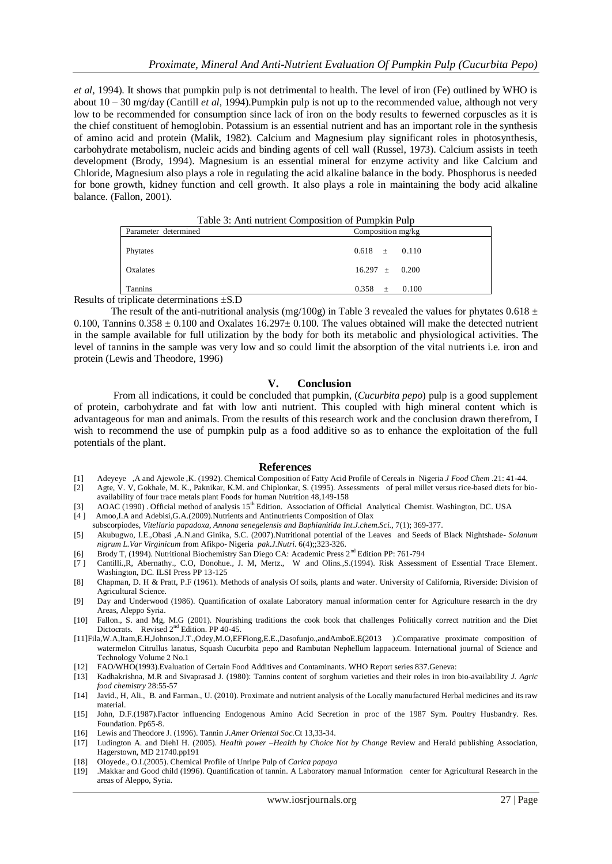*et al,* 1994). It shows that pumpkin pulp is not detrimental to health. The level of iron (Fe) outlined by WHO is about 10 – 30 mg/day (Cantill *et al*, 1994).Pumpkin pulp is not up to the recommended value, although not very low to be recommended for consumption since lack of iron on the body results to fewerned corpuscles as it is the chief constituent of hemoglobin. Potassium is an essential nutrient and has an important role in the synthesis of amino acid and protein (Malik, 1982). Calcium and Magnesium play significant roles in photosynthesis, carbohydrate metabolism, nucleic acids and binding agents of cell wall (Russel, 1973). Calcium assists in teeth development (Brody, 1994). Magnesium is an essential mineral for enzyme activity and like Calcium and Chloride, Magnesium also plays a role in regulating the acid alkaline balance in the body. Phosphorus is needed for bone growth, kidney function and cell growth. It also plays a role in maintaining the body acid alkaline balance. (Fallon, 2001).

| Table 3: Anti nutrient Composition of Pumpkin Pulp |                    |  |  |
|----------------------------------------------------|--------------------|--|--|
| Parameter determined                               | Composition mg/kg  |  |  |
| Phytates                                           | $0.618 \pm 0.110$  |  |  |
| Oxalates                                           | $16.297 \pm 0.200$ |  |  |
| <b>Tannins</b><br>dallaata dataminationa (CD)      | $0.358 \pm 0.100$  |  |  |

Results of triplicate determinations ±S.D

The result of the anti-nutritional analysis (mg/100g) in Table 3 revealed the values for phytates 0.618  $\pm$ 0.100, Tannins  $0.358 \pm 0.100$  and Oxalates  $16.297 \pm 0.100$ . The values obtained will make the detected nutrient in the sample available for full utilization by the body for both its metabolic and physiological activities. The level of tannins in the sample was very low and so could limit the absorption of the vital nutrients i.e. iron and protein (Lewis and Theodore, 1996)

#### **V. Conclusion**

From all indications, it could be concluded that pumpkin, (*Cucurbita pepo*) pulp is a good supplement of protein, carbohydrate and fat with low anti nutrient. This coupled with high mineral content which is advantageous for man and animals. From the results of this research work and the conclusion drawn therefrom, I wish to recommend the use of pumpkin pulp as a food additive so as to enhance the exploitation of the full potentials of the plant.

#### **References**

- [1] Adeyeye ,A and Ajewole ,K. (1992). Chemical Composition of Fatty Acid Profile of Cereals in Nigeria *J Food Chem* .21: 41-44.
- [2] Agte, V. V, Gokhale, M. K., Paknikar, K.M. and Chiplonkar, S. (1995). Assessments of peral millet versus rice-based diets for bioavailability of four trace metals plant Foods for human Nutrition 48,149-158
- [3] AOAC (1990) . Official method of analysis 15<sup>th</sup> Edition. Association of Official Analytical Chemist. Washington, DC. USA
- [4 ] Amoo,I.A and Adebisi,G.A.(2009).Nutrients and Antinutrients Composition of Olax subscorpiodes, *Vitellaria papadoxa, Annona senegelensis and Baphianitida Int.J.chem.Sci.,* 7(1); 369-377.
- [5] Akubugwo, I.E.,Obasi ,A.N.and Ginika, S.C. (2007).Nutritional potential of the Leaves and Seeds of Black Nightshade- *Solanum nigrum L.Var Virginicum* from Afikpo- Nigeria *pak.J.Nutri.* 6(4);;323-326.
- [6] Brody T, (1994). Nutritional Biochemistry San Diego CA: Academic Press 2nd Edition PP: 761-794
- [7 ] Cantilli.,R, Abernathy., C.O, Donohue., J. M, Mertz., W .and Olins.,S.(1994). Risk Assessment of Essential Trace Element. Washington, DC. ILSI Press PP 13-125
- [8] Chapman, D. H & Pratt, P.F (1961). Methods of analysis Of soils, plants and water. University of California, Riverside: Division of Agricultural Science.
- [9] Day and Underwood (1986). Quantification of oxalate Laboratory manual information center for Agriculture research in the dry Areas, Aleppo Syria.
- [10] Fallon., S. and Mg, M.G (2001). Nourishing traditions the cook book that challenges Politically correct nutrition and the Diet Dictocrats. Revised  $2<sup>nd</sup>$  Edition. PP 40-45.
- [11]Fila,W.A,Itam,E.H,Johnson,J.T.,Odey,M.O,EFFiong,E.E.,Dasofunjo.,andAmboE.E(2013 ).Comparative proximate composition of watermelon Citrullus lanatus, Squash Cucurbita pepo and Rambutan Nephellum lappaceum. International journal of Science and Technology Volume 2 No.1
- [12] FAO/WHO(1993).Evaluation of Certain Food Additives and Contaminants. WHO Report series 837.Geneva:
- [13] Kadhakrishna, M.R and Sivaprasad J. (1980): Tannins content of sorghum varieties and their roles in iron bio-availability *J. Agric food chemistry* 28:55-57
- [14] Javid., H, Ali., B. and Farman., U. (2010). Proximate and nutrient analysis of the Locally manufactured Herbal medicines and its raw material.
- [15] John, D.F.(1987).Factor influencing Endogenous Amino Acid Secretion in proc of the 1987 Sym. Poultry Husbandry. Res. Foundation. Pp65-8.
- [16] Lewis and Theodore J. (1996). Tannin *J.Amer Oriental Soc.*Ct 13,33-34.
- [17] Ludington A. and DiehI H. (2005). *HeaIth power* –*HeaIth by Choice Not by Change* Review and HeraId publishing Association, Hagerstown, MD 21740.pp191
- [18] OIoyede., O.I.(2005). Chemical Profile of Unripe Pulp of *Carica papaya*
- [19] .Makkar and Good child (1996). Quantification of tannin. A Laboratory manual Information center for Agricultural Research in the areas of Aleppo, Syria.